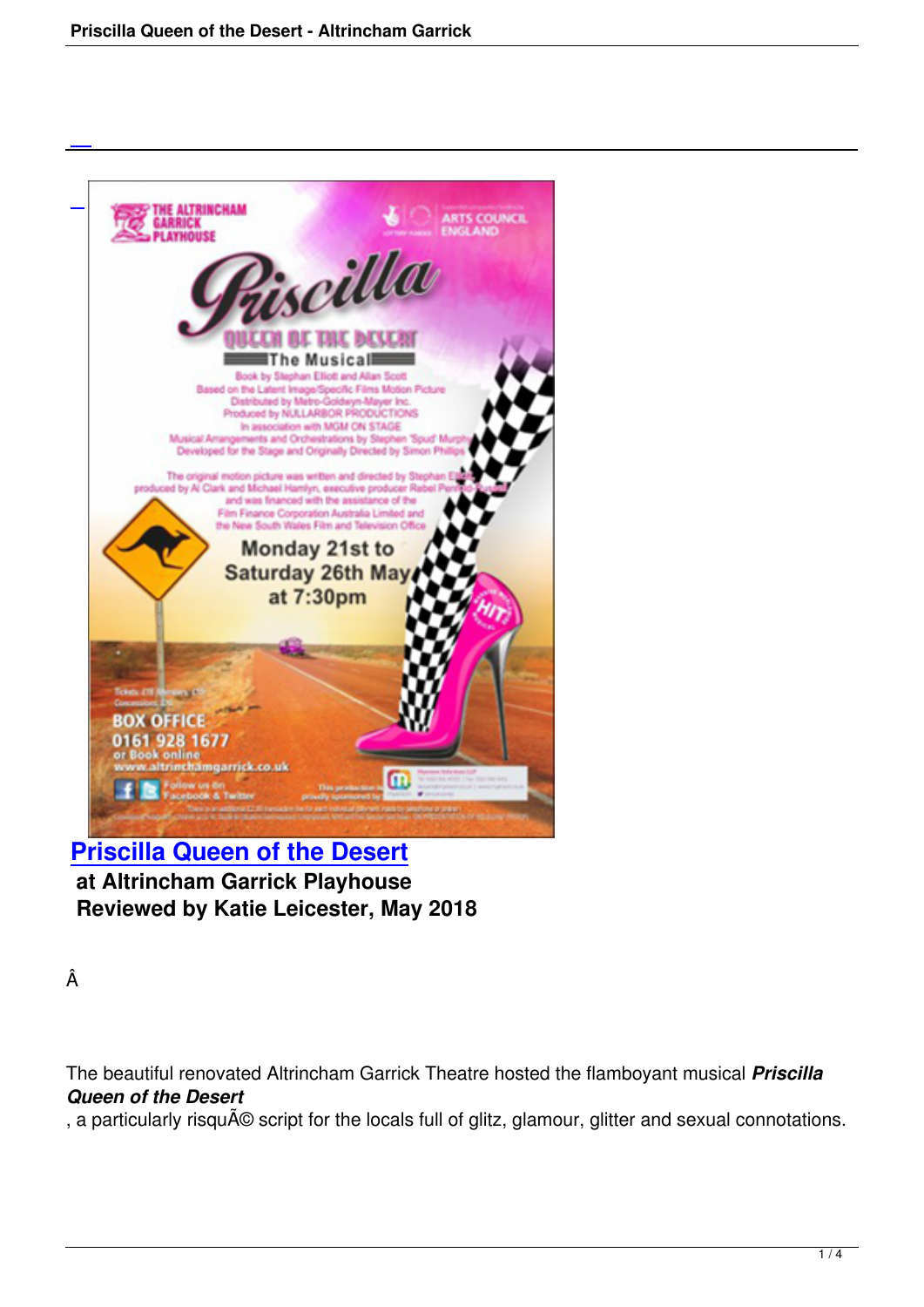

# **Priscilla Queen of the Desert at Altrincham Garrick Playhouse [Reviewed by Katie Leicester, Ma](priscilla-queen-of-the-desert.html)y 2018**

Â

The beautiful renovated Altrincham Garrick Theatre hosted the flamboyant musical *Priscilla Queen of the Desert*

, a particularly risqué script for the locals full of glitz, glamour, glitter and sexual connotations.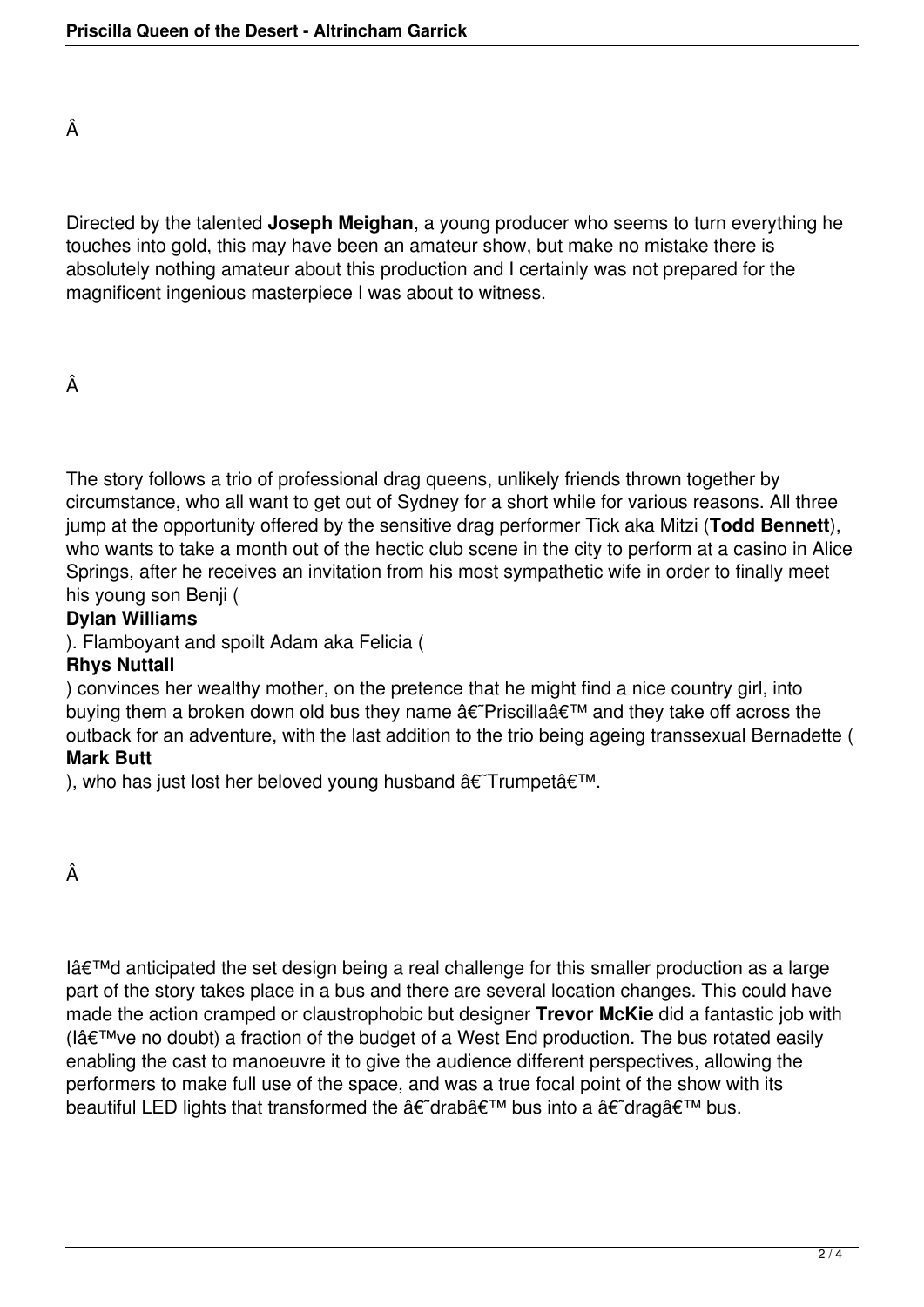Â

Directed by the talented **Joseph Meighan**, a young producer who seems to turn everything he touches into gold, this may have been an amateur show, but make no mistake there is absolutely nothing amateur about this production and I certainly was not prepared for the magnificent ingenious masterpiece I was about to witness.

### Â

The story follows a trio of professional drag queens, unlikely friends thrown together by circumstance, who all want to get out of Sydney for a short while for various reasons. All three jump at the opportunity offered by the sensitive drag performer Tick aka Mitzi (**Todd Bennett**), who wants to take a month out of the hectic club scene in the city to perform at a casino in Alice Springs, after he receives an invitation from his most sympathetic wife in order to finally meet his young son Benji (

#### **Dylan Williams**

). Flamboyant and spoilt Adam aka Felicia (

### **Rhys Nuttall**

) convinces her wealthy mother, on the pretence that he might find a nice country girl, into buying them a broken down old bus they name  $\hat{a} \in \hat{P}$  Priscilla $\hat{a} \in \hat{P}$  and they take off across the outback for an adventure, with the last addition to the trio being ageing transsexual Bernadette ( **Mark Butt**

), who has just lost her beloved young husband  $\hat{a} \in T$ rumpet $\hat{a} \in T^M$ .

Â

I'd anticipated the set design being a real challenge for this smaller production as a large part of the story takes place in a bus and there are several location changes. This could have made the action cramped or claustrophobic but designer **Trevor McKie** did a fantastic job with (I've no doubt) a fraction of the budget of a West End production. The bus rotated easily enabling the cast to manoeuvre it to give the audience different perspectives, allowing the performers to make full use of the space, and was a true focal point of the show with its beautiful LED lights that transformed the  $\hat{a}\in \tilde{a}$  drab $\hat{a}\in \tilde{a}$  bus into a  $\hat{a}\in \tilde{a}$  drag $\hat{a}\in \tilde{a}$  bus.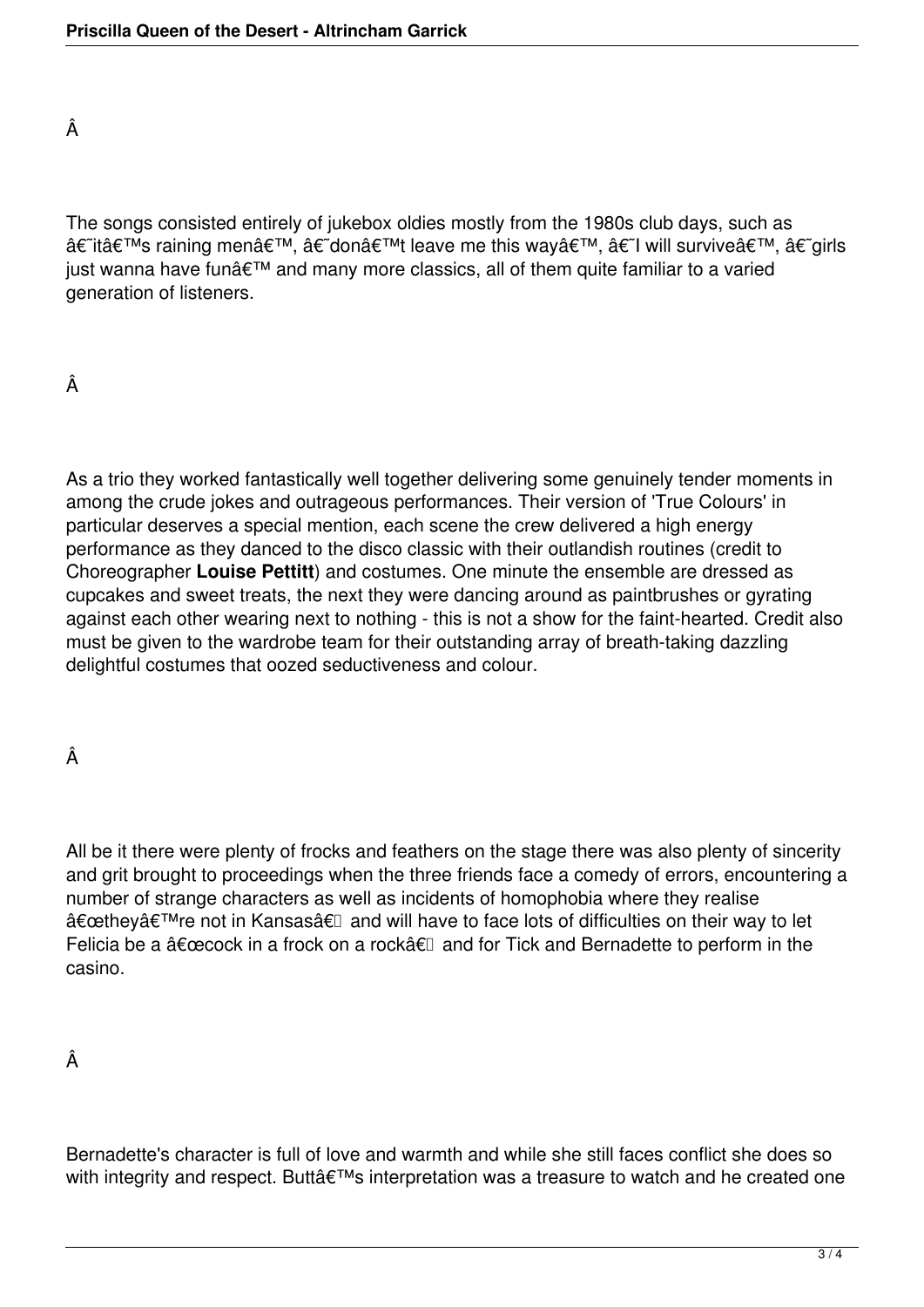Â

The songs consisted entirely of jukebox oldies mostly from the 1980s club days, such as â€~it's raining men', â€~don't leave me this way', â€~l will survive', â€~girls just wanna have fun' and many more classics, all of them quite familiar to a varied generation of listeners.

# Â

As a trio they worked fantastically well together delivering some genuinely tender moments in among the crude jokes and outrageous performances. Their version of 'True Colours' in particular deserves a special mention, each scene the crew delivered a high energy performance as they danced to the disco classic with their outlandish routines (credit to Choreographer **Louise Pettitt**) and costumes. One minute the ensemble are dressed as cupcakes and sweet treats, the next they were dancing around as paintbrushes or gyrating against each other wearing next to nothing - this is not a show for the faint-hearted. Credit also must be given to the wardrobe team for their outstanding array of breath-taking dazzling delightful costumes that oozed seductiveness and colour.

Â

All be it there were plenty of frocks and feathers on the stage there was also plenty of sincerity and grit brought to proceedings when the three friends face a comedy of errors, encountering a number of strange characters as well as incidents of homophobia where they realise "they're not in Kansasâ€l and will have to face lots of difficulties on their way to let Felicia be a  $\hat{a} \in \text{cecock}$  in a frock on a rock $\hat{a} \in \mathbb{R}$  and for Tick and Bernadette to perform in the casino.

Â

Bernadette's character is full of love and warmth and while she still faces conflict she does so with integrity and respect. Butt's interpretation was a treasure to watch and he created one